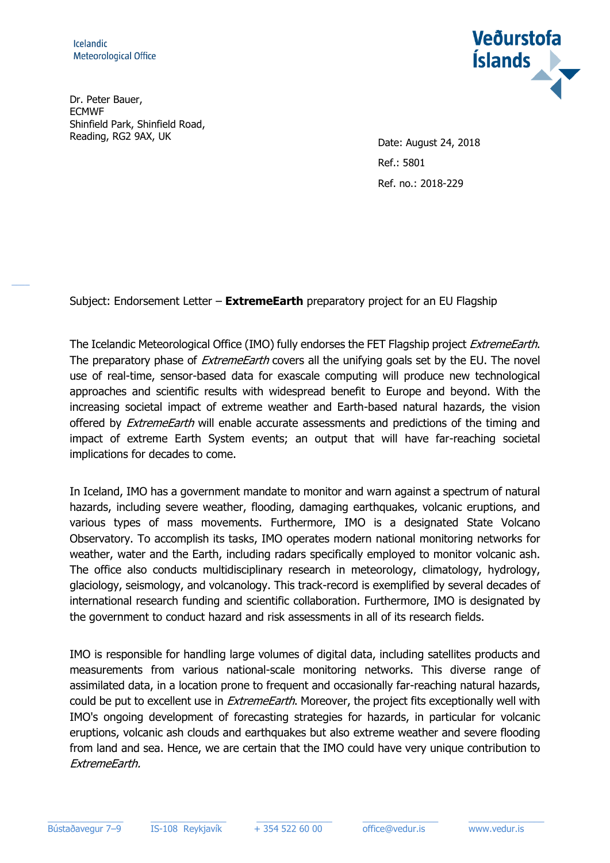$\overline{\phantom{a}}$ 

Dr. Peter Bauer, ECMWF Shinfield Park, Shinfield Road, Reading, RG2 9AX, UK Date: August 24, 2018



Ref.: 5801 Ref. no.: 2018-229

Subject: Endorsement Letter – **ExtremeEarth** preparatory project for an EU Flagship

The Icelandic Meteorological Office (IMO) fully endorses the FET Flagship project *ExtremeEarth*. The preparatory phase of *ExtremeEarth* covers all the unifying goals set by the EU. The novel use of real-time, sensor-based data for exascale computing will produce new technological approaches and scientific results with widespread benefit to Europe and beyond. With the increasing societal impact of extreme weather and Earth-based natural hazards, the vision offered by *ExtremeEarth* will enable accurate assessments and predictions of the timing and impact of extreme Earth System events; an output that will have far-reaching societal implications for decades to come.

In Iceland, IMO has a government mandate to monitor and warn against a spectrum of natural hazards, including severe weather, flooding, damaging earthquakes, volcanic eruptions, and various types of mass movements. Furthermore, IMO is a designated State Volcano Observatory. To accomplish its tasks, IMO operates modern national monitoring networks for weather, water and the Earth, including radars specifically employed to monitor volcanic ash. The office also conducts multidisciplinary research in meteorology, climatology, hydrology, glaciology, seismology, and volcanology. This track-record is exemplified by several decades of international research funding and scientific collaboration. Furthermore, IMO is designated by the government to conduct hazard and risk assessments in all of its research fields.

IMO is responsible for handling large volumes of digital data, including satellites products and measurements from various national-scale monitoring networks. This diverse range of assimilated data, in a location prone to frequent and occasionally far-reaching natural hazards, could be put to excellent use in *ExtremeEarth*. Moreover, the project fits exceptionally well with IMO's ongoing development of forecasting strategies for hazards, in particular for volcanic eruptions, volcanic ash clouds and earthquakes but also extreme weather and severe flooding from land and sea. Hence, we are certain that the IMO could have very unique contribution to ExtremeEarth.

 $\_$  , and the set of the set of the set of the set of the set of the set of the set of the set of the set of the set of the set of the set of the set of the set of the set of the set of the set of the set of the set of th